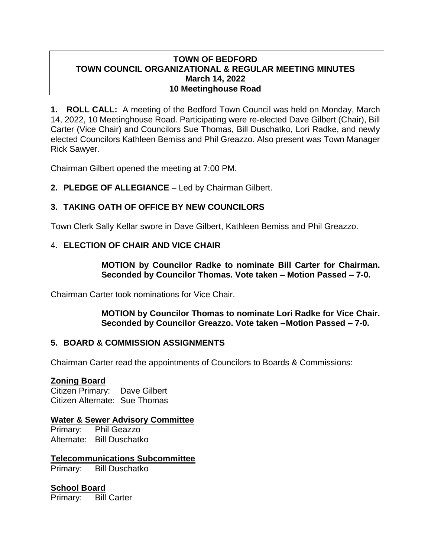### **TOWN OF BEDFORD TOWN COUNCIL ORGANIZATIONAL & REGULAR MEETING MINUTES March 14, 2022 10 Meetinghouse Road**

**1. ROLL CALL:** A meeting of the Bedford Town Council was held on Monday, March 14, 2022, 10 Meetinghouse Road. Participating were re-elected Dave Gilbert (Chair), Bill Carter (Vice Chair) and Councilors Sue Thomas, Bill Duschatko, Lori Radke, and newly elected Councilors Kathleen Bemiss and Phil Greazzo. Also present was Town Manager Rick Sawyer.

Chairman Gilbert opened the meeting at 7:00 PM.

**2. PLEDGE OF ALLEGIANCE** – Led by Chairman Gilbert.

# **3. TAKING OATH OF OFFICE BY NEW COUNCILORS**

Town Clerk Sally Kellar swore in Dave Gilbert, Kathleen Bemiss and Phil Greazzo.

## 4. **ELECTION OF CHAIR AND VICE CHAIR**

**MOTION by Councilor Radke to nominate Bill Carter for Chairman. Seconded by Councilor Thomas. Vote taken – Motion Passed – 7-0.**

Chairman Carter took nominations for Vice Chair.

**MOTION by Councilor Thomas to nominate Lori Radke for Vice Chair. Seconded by Councilor Greazzo. Vote taken –Motion Passed – 7-0.**

## **5. BOARD & COMMISSION ASSIGNMENTS**

Chairman Carter read the appointments of Councilors to Boards & Commissions:

## **Zoning Board**

Citizen Primary: Dave Gilbert Citizen Alternate: Sue Thomas

## **Water & Sewer Advisory Committee**

Primary: Phil Geazzo Alternate: Bill Duschatko

# **Telecommunications Subcommittee**

Primary: Bill Duschatko

## **School Board**

Primary: Bill Carter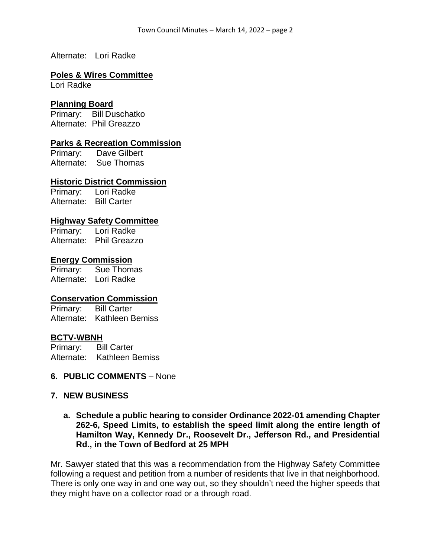Alternate: Lori Radke

### **Poles & Wires Committee**

Lori Radke

### **Planning Board**

Primary: Bill Duschatko Alternate: Phil Greazzo

#### **Parks & Recreation Commission**

Primary: Dave Gilbert Alternate: Sue Thomas

#### **Historic District Commission**

Primary: Lori Radke Alternate: Bill Carter

## **Highway Safety Committee**

Primary: Lori Radke Alternate: Phil Greazzo

#### **Energy Commission**

Primary: Sue Thomas Alternate: Lori Radke

## **Conservation Commission**

Primary: Bill Carter Alternate: Kathleen Bemiss

#### **BCTV-WBNH**

Primary: Bill Carter Alternate: Kathleen Bemiss

#### **6. PUBLIC COMMENTS** – None

#### **7. NEW BUSINESS**

### **a. Schedule a public hearing to consider Ordinance 2022-01 amending Chapter 262-6, Speed Limits, to establish the speed limit along the entire length of Hamilton Way, Kennedy Dr., Roosevelt Dr., Jefferson Rd., and Presidential Rd., in the Town of Bedford at 25 MPH**

Mr. Sawyer stated that this was a recommendation from the Highway Safety Committee following a request and petition from a number of residents that live in that neighborhood. There is only one way in and one way out, so they shouldn't need the higher speeds that they might have on a collector road or a through road.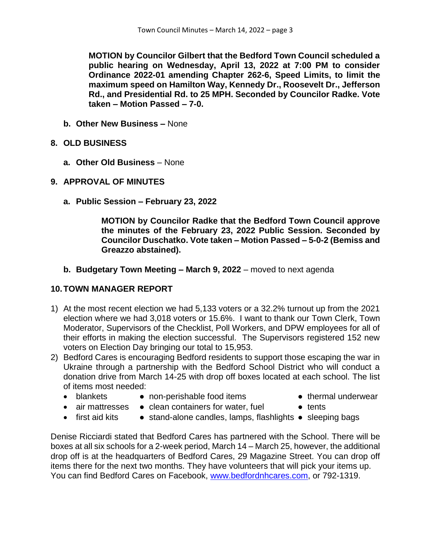**MOTION by Councilor Gilbert that the Bedford Town Council scheduled a public hearing on Wednesday, April 13, 2022 at 7:00 PM to consider Ordinance 2022-01 amending Chapter 262-6, Speed Limits, to limit the maximum speed on Hamilton Way, Kennedy Dr., Roosevelt Dr., Jefferson Rd., and Presidential Rd. to 25 MPH. Seconded by Councilor Radke. Vote taken – Motion Passed – 7-0.**

- **b. Other New Business –** None
- **8. OLD BUSINESS**
	- **a. Other Old Business** None
- **9. APPROVAL OF MINUTES**
	- **a. Public Session – February 23, 2022**

**MOTION by Councilor Radke that the Bedford Town Council approve the minutes of the February 23, 2022 Public Session. Seconded by Councilor Duschatko. Vote taken – Motion Passed – 5-0-2 (Bemiss and Greazzo abstained).**

**b. Budgetary Town Meeting – March 9, 2022** – moved to next agenda

## **10.TOWN MANAGER REPORT**

- 1) At the most recent election we had 5,133 voters or a 32.2% turnout up from the 2021 election where we had 3,018 voters or 15.6%. I want to thank our Town Clerk, Town Moderator, Supervisors of the Checklist, Poll Workers, and DPW employees for all of their efforts in making the election successful. The Supervisors registered 152 new voters on Election Day bringing our total to 15,953.
- 2) Bedford Cares is encouraging Bedford residents to support those escaping the war in Ukraine through a partnership with the Bedford School District who will conduct a donation drive from March 14-25 with drop off boxes located at each school. The list of items most needed:
	-
	- blankets non-perishable food items thermal underwear
- 
- 
- air mattresses clean containers for water, fuel tents
- 
- 
- first aid kits stand-alone candles, lamps, flashlights sleeping bags

Denise Ricciardi stated that Bedford Cares has partnered with the School. There will be boxes at all six schools for a 2-week period, March 14 – March 25, however, the additional drop off is at the headquarters of Bedford Cares, 29 Magazine Street. You can drop off items there for the next two months. They have volunteers that will pick your items up. You can find Bedford Cares on Facebook, [www.bedfordnhcares.com,](http://www.bedfordnhcares.com/) or 792-1319.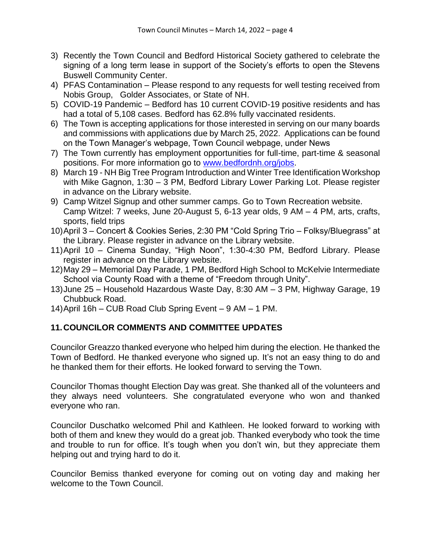- 3) Recently the Town Council and Bedford Historical Society gathered to celebrate the signing of a long term lease in support of the Society's efforts to open the Stevens Buswell Community Center.
- 4) PFAS Contamination Please respond to any requests for well testing received from Nobis Group, Golder Associates, or State of NH.
- 5) COVID-19 Pandemic Bedford has 10 current COVID-19 positive residents and has had a total of 5,108 cases. Bedford has 62.8% fully vaccinated residents.
- 6) The Town is accepting applications for those interested in serving on our many boards and commissions with applications due by March 25, 2022. Applications can be found on the Town Manager's webpage, Town Council webpage, under News
- 7) The Town currently has employment opportunities for full-time, part-time & seasonal positions. For more information go to [www.bedfordnh.org/jobs.](http://www.bedfordnh.org/jobs)
- 8) March 19 NH Big Tree Program Introduction and Winter Tree Identification Workshop with Mike Gagnon, 1:30 – 3 PM, Bedford Library Lower Parking Lot. Please register in advance on the Library website.
- 9) Camp Witzel Signup and other summer camps. Go to Town Recreation website. Camp Witzel: 7 weeks, June 20-August 5, 6-13 year olds, 9 AM – 4 PM, arts, crafts, sports, field trips
- 10)April 3 Concert & Cookies Series, 2:30 PM "Cold Spring Trio Folksy/Bluegrass" at the Library. Please register in advance on the Library website.
- 11)April 10 Cinema Sunday, "High Noon", 1:30-4:30 PM, Bedford Library. Please register in advance on the Library website.
- 12)May 29 Memorial Day Parade, 1 PM, Bedford High School to McKelvie Intermediate School via County Road with a theme of "Freedom through Unity".
- 13)June 25 Household Hazardous Waste Day, 8:30 AM 3 PM, Highway Garage, 19 Chubbuck Road.
- 14)April 16h CUB Road Club Spring Event 9 AM 1 PM.

# **11.COUNCILOR COMMENTS AND COMMITTEE UPDATES**

Councilor Greazzo thanked everyone who helped him during the election. He thanked the Town of Bedford. He thanked everyone who signed up. It's not an easy thing to do and he thanked them for their efforts. He looked forward to serving the Town.

Councilor Thomas thought Election Day was great. She thanked all of the volunteers and they always need volunteers. She congratulated everyone who won and thanked everyone who ran.

Councilor Duschatko welcomed Phil and Kathleen. He looked forward to working with both of them and knew they would do a great job. Thanked everybody who took the time and trouble to run for office. It's tough when you don't win, but they appreciate them helping out and trying hard to do it.

Councilor Bemiss thanked everyone for coming out on voting day and making her welcome to the Town Council.